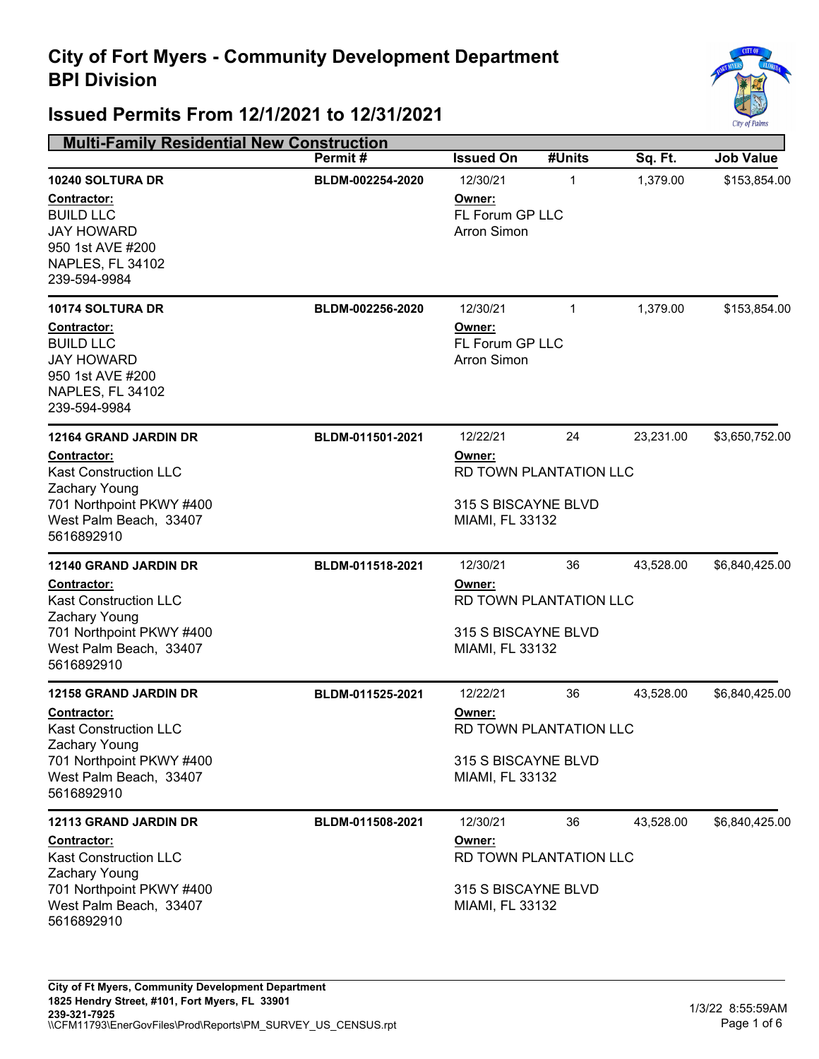

| <b>Multi-Family Residential New Construction</b>                                                                                                                 |                  |                                                                                               |                              |           |                  |
|------------------------------------------------------------------------------------------------------------------------------------------------------------------|------------------|-----------------------------------------------------------------------------------------------|------------------------------|-----------|------------------|
|                                                                                                                                                                  | Permit#          | <b>Issued On</b>                                                                              | #Units                       | Sq. Ft.   | <b>Job Value</b> |
| 10240 SOLTURA DR<br><b>Contractor:</b><br><b>BUILD LLC</b><br><b>JAY HOWARD</b><br>950 1st AVE #200<br>NAPLES, FL 34102<br>239-594-9984                          | BLDM-002254-2020 | 12/30/21<br>Owner:<br>FL Forum GP LLC<br><b>Arron Simon</b>                                   | 1                            | 1,379.00  | \$153,854.00     |
| 10174 SOLTURA DR<br><b>Contractor:</b><br><b>BUILD LLC</b><br><b>JAY HOWARD</b><br>950 1st AVE #200<br>NAPLES, FL 34102<br>239-594-9984                          | BLDM-002256-2020 | 12/30/21<br>Owner:<br>FL Forum GP LLC<br><b>Arron Simon</b>                                   | $\mathbf{1}$                 | 1,379.00  | \$153,854.00     |
| 12164 GRAND JARDIN DR<br><b>Contractor:</b><br><b>Kast Construction LLC</b><br>Zachary Young<br>701 Northpoint PKWY #400<br>West Palm Beach, 33407<br>5616892910 | BLDM-011501-2021 | 12/22/21<br>Owner:<br><b>RD TOWN PLANTATION LLC</b><br>315 S BISCAYNE BLVD<br>MIAMI, FL 33132 | \$3,650,752.00               |           |                  |
| <b>12140 GRAND JARDIN DR</b><br>Contractor:<br><b>Kast Construction LLC</b><br>Zachary Young<br>701 Northpoint PKWY #400<br>West Palm Beach, 33407<br>5616892910 | BLDM-011518-2021 | 12/30/21<br>Owner:<br>315 S BISCAYNE BLVD<br>MIAMI, FL 33132                                  | 36<br>RD TOWN PLANTATION LLC | 43,528.00 | \$6,840,425.00   |
| <b>12158 GRAND JARDIN DR</b><br>Contractor:<br><b>Kast Construction LLC</b><br>Zachary Young<br>701 Northpoint PKWY #400<br>West Palm Beach, 33407<br>5616892910 | BLDM-011525-2021 | 12/22/21<br>Owner:<br>315 S BISCAYNE BLVD<br>MIAMI, FL 33132                                  | 36<br>RD TOWN PLANTATION LLC | 43,528.00 | \$6,840,425.00   |
| 12113 GRAND JARDIN DR<br><b>Contractor:</b><br><b>Kast Construction LLC</b><br>Zachary Young<br>701 Northpoint PKWY #400<br>West Palm Beach, 33407<br>5616892910 | BLDM-011508-2021 | 12/30/21<br>Owner:<br>315 S BISCAYNE BLVD<br>MIAMI, FL 33132                                  | 36<br>RD TOWN PLANTATION LLC | 43,528.00 | \$6,840,425.00   |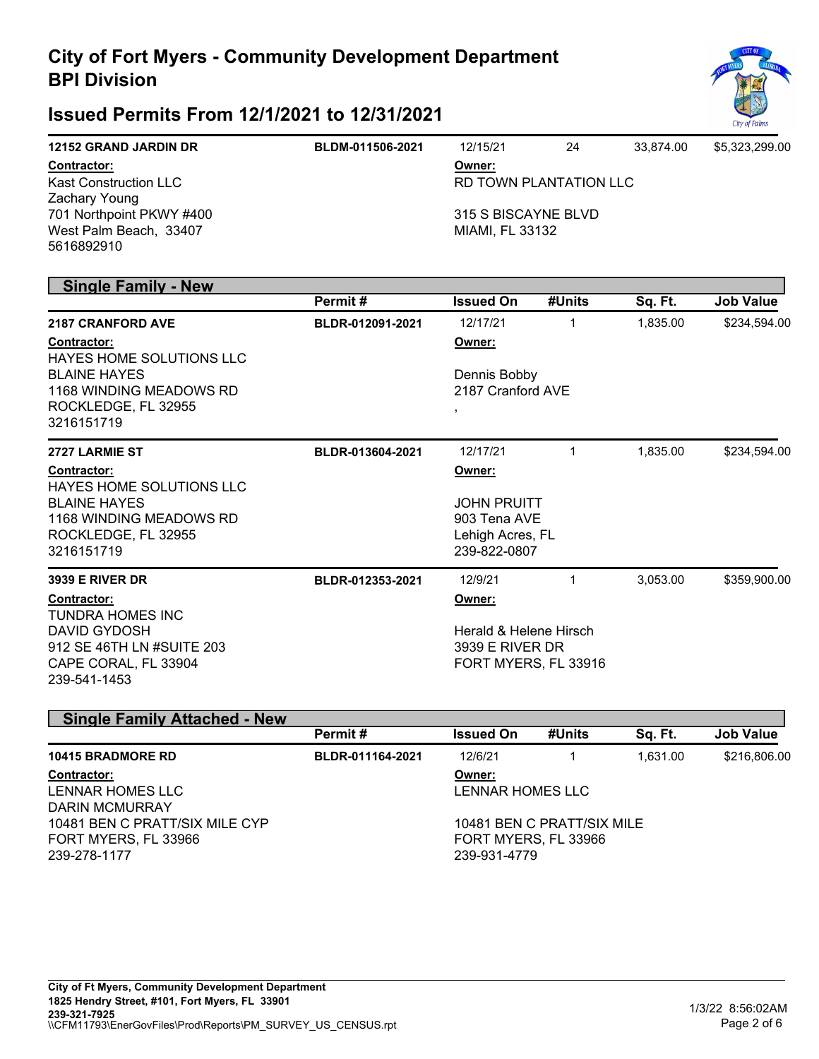

### **Issued Permits From 12/1/2021 to 12/31/2021**

| <b>12152 GRAND JARDIN DR</b> | BLDM-011506-2021 | 12/15/21               | 24 | 33.874.00 | \$5.323.299.00 |
|------------------------------|------------------|------------------------|----|-----------|----------------|
| <b>Contractor:</b>           |                  | Owner:                 |    |           |                |
| <b>Kast Construction LLC</b> |                  | RD TOWN PLANTATION LLC |    |           |                |
| Zachary Young                |                  |                        |    |           |                |
| 701 Northpoint PKWY #400     |                  | 315 S BISCAYNE BLVD    |    |           |                |
| West Palm Beach, 33407       |                  | MIAMI. FL 33132        |    |           |                |
| 5616892910                   |                  |                        |    |           |                |

#### **Single Family - New**

|                                                | Permit#          | <b>Issued On</b>                  | #Units               | Sq. Ft.  | <b>Job Value</b> |  |
|------------------------------------------------|------------------|-----------------------------------|----------------------|----------|------------------|--|
| <b>2187 CRANFORD AVE</b>                       | BLDR-012091-2021 | 12/17/21                          | 1                    | 1,835.00 | \$234,594.00     |  |
| Contractor:<br><b>HAYES HOME SOLUTIONS LLC</b> |                  | Owner:                            |                      |          |                  |  |
| <b>BLAINE HAYES</b><br>1168 WINDING MEADOWS RD |                  | Dennis Bobby<br>2187 Cranford AVE |                      |          |                  |  |
| ROCKLEDGE, FL 32955<br>3216151719              |                  | $\overline{\phantom{a}}$          |                      |          |                  |  |
| <b>2727 LARMIE ST</b>                          | BLDR-013604-2021 | 12/17/21                          | 1                    | 1,835.00 | \$234,594.00     |  |
| Contractor:                                    |                  | Owner:                            |                      |          |                  |  |
| <b>HAYES HOME SOLUTIONS LLC</b>                |                  |                                   |                      |          |                  |  |
| <b>BLAINE HAYES</b>                            |                  | <b>JOHN PRUITT</b>                |                      |          |                  |  |
| 1168 WINDING MEADOWS RD<br>ROCKLEDGE, FL 32955 |                  | 903 Tena AVE                      |                      |          |                  |  |
| 3216151719                                     |                  | Lehigh Acres, FL<br>239-822-0807  |                      |          |                  |  |
| <b>3939 E RIVER DR</b>                         | BLDR-012353-2021 | 12/9/21                           | 1                    | 3,053.00 | \$359,900.00     |  |
| Contractor:                                    |                  | Owner:                            |                      |          |                  |  |
| <b>TUNDRA HOMES INC</b>                        |                  |                                   |                      |          |                  |  |
| DAVID GYDOSH                                   |                  | Herald & Helene Hirsch            |                      |          |                  |  |
| 912 SE 46TH LN #SUITE 203                      |                  | 3939 E RIVER DR                   |                      |          |                  |  |
| CAPE CORAL, FL 33904<br>239-541-1453           |                  |                                   | FORT MYERS, FL 33916 |          |                  |  |

| <b>Single Family Attached - New</b> |                  |        |                                                          |                            |  |  |  |
|-------------------------------------|------------------|--------|----------------------------------------------------------|----------------------------|--|--|--|
| Permit#                             | <b>Issued On</b> | #Units | Sq. Ft.                                                  | <b>Job Value</b>           |  |  |  |
| BLDR-011164-2021                    | 12/6/21          |        | 1.631.00                                                 | \$216,806.00               |  |  |  |
|                                     | Owner:           |        |                                                          |                            |  |  |  |
|                                     |                  |        |                                                          |                            |  |  |  |
|                                     |                  |        |                                                          |                            |  |  |  |
|                                     |                  |        |                                                          |                            |  |  |  |
|                                     |                  |        |                                                          |                            |  |  |  |
|                                     |                  |        |                                                          |                            |  |  |  |
|                                     |                  |        | LENNAR HOMES LLC<br>FORT MYERS, FL 33966<br>239-931-4779 | 10481 BEN C PRATT/SIX MILE |  |  |  |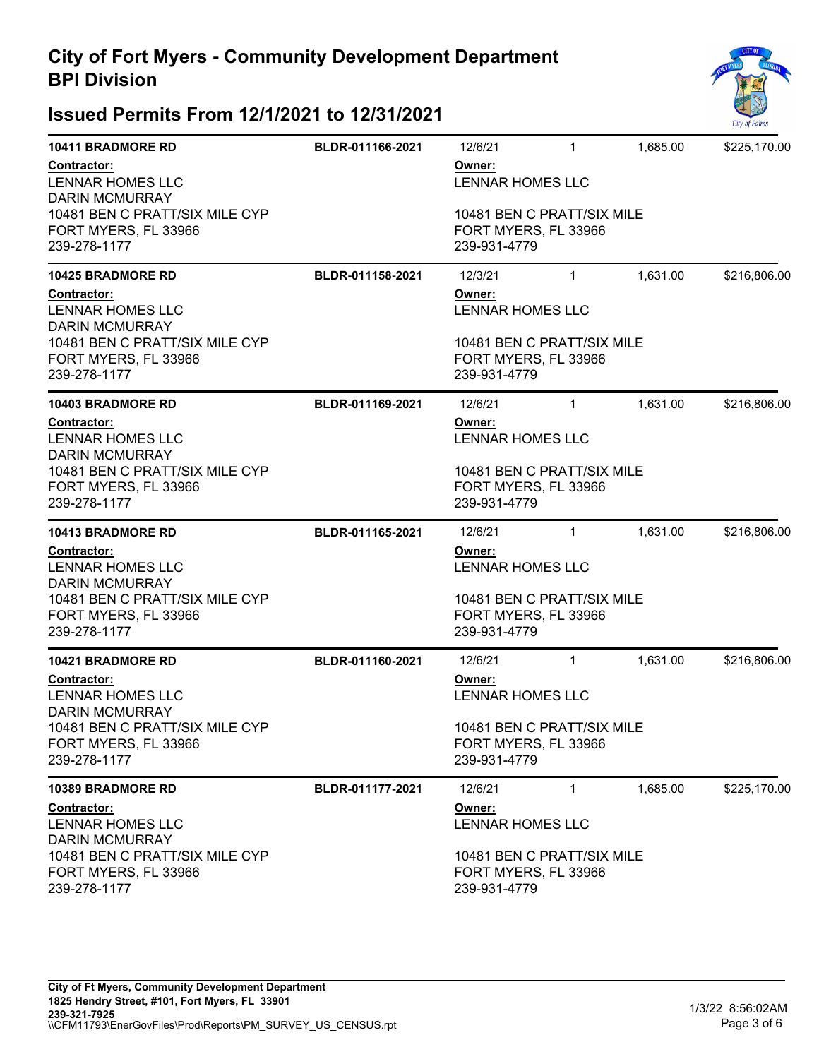

| <b>10411 BRADMORE RD</b>                                               | BLDR-011166-2021                  | 12/6/21                                                            | $\mathbf{1}$ | 1,685.00 | \$225,170.00 |
|------------------------------------------------------------------------|-----------------------------------|--------------------------------------------------------------------|--------------|----------|--------------|
| Contractor:<br>LENNAR HOMES LLC<br><b>DARIN MCMURRAY</b>               |                                   | Owner:<br>LENNAR HOMES LLC                                         |              |          |              |
| 10481 BEN C PRATT/SIX MILE CYP<br>FORT MYERS, FL 33966<br>239-278-1177 |                                   | 10481 BEN C PRATT/SIX MILE<br>FORT MYERS, FL 33966<br>239-931-4779 |              |          |              |
| <b>10425 BRADMORE RD</b>                                               | BLDR-011158-2021                  | 12/3/21                                                            | $\mathbf{1}$ | 1,631.00 | \$216,806.00 |
| <b>Contractor:</b><br>LENNAR HOMES LLC<br><b>DARIN MCMURRAY</b>        | Owner:<br><b>LENNAR HOMES LLC</b> |                                                                    |              |          |              |
| 10481 BEN C PRATT/SIX MILE CYP<br>FORT MYERS, FL 33966<br>239-278-1177 |                                   | 10481 BEN C PRATT/SIX MILE<br>FORT MYERS, FL 33966<br>239-931-4779 |              |          |              |
| <b>10403 BRADMORE RD</b>                                               | BLDR-011169-2021                  | 12/6/21                                                            | $\mathbf{1}$ | 1,631.00 | \$216,806.00 |
| Contractor:<br>LENNAR HOMES LLC<br><b>DARIN MCMURRAY</b>               | Owner:<br><b>LENNAR HOMES LLC</b> |                                                                    |              |          |              |
| 10481 BEN C PRATT/SIX MILE CYP<br>FORT MYERS, FL 33966<br>239-278-1177 |                                   | 10481 BEN C PRATT/SIX MILE<br>FORT MYERS, FL 33966<br>239-931-4779 |              |          |              |
| <b>10413 BRADMORE RD</b>                                               | BLDR-011165-2021                  | 12/6/21                                                            | $\mathbf{1}$ | 1,631.00 | \$216,806.00 |
| Contractor:<br>LENNAR HOMES LLC<br><b>DARIN MCMURRAY</b>               |                                   | Owner:<br><b>LENNAR HOMES LLC</b>                                  |              |          |              |
| 10481 BEN C PRATT/SIX MILE CYP<br>FORT MYERS, FL 33966<br>239-278-1177 |                                   | 10481 BEN C PRATT/SIX MILE<br>FORT MYERS, FL 33966<br>239-931-4779 |              |          |              |
| <b>10421 BRADMORE RD</b>                                               | BLDR-011160-2021                  | 12/6/21                                                            | $\mathbf{1}$ | 1,631.00 | \$216,806.00 |
| Contractor:<br><b>LENNAR HOMES LLC</b><br><b>DARIN MCMURRAY</b>        |                                   | Owner:<br>LENNAR HOMES LLC                                         |              |          |              |
| 10481 BEN C PRATT/SIX MILE CYP<br>FORT MYERS, FL 33966<br>239-278-1177 |                                   | 10481 BEN C PRATT/SIX MILE<br>FORT MYERS, FL 33966<br>239-931-4779 |              |          |              |
| <b>10389 BRADMORE RD</b>                                               | BLDR-011177-2021                  | 12/6/21                                                            | $\mathbf{1}$ | 1,685.00 | \$225,170.00 |
| <b>Contractor:</b><br><b>LENNAR HOMES LLC</b><br><b>DARIN MCMURRAY</b> |                                   | Owner:<br>LENNAR HOMES LLC                                         |              |          |              |
| 10481 BEN C PRATT/SIX MILE CYP<br>FORT MYERS, FL 33966<br>239-278-1177 |                                   | 10481 BEN C PRATT/SIX MILE<br>FORT MYERS, FL 33966<br>239-931-4779 |              |          |              |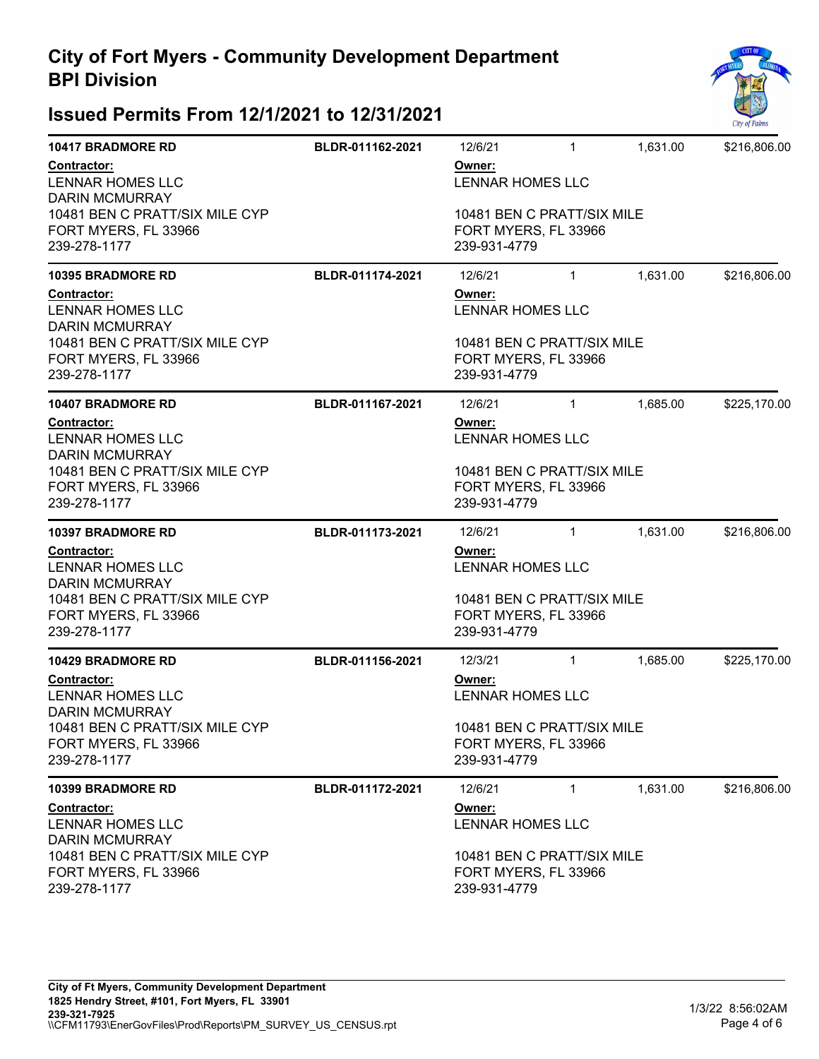

| <b>10417 BRADMORE RD</b>                                               | BLDR-011162-2021                  | 12/6/21                                                                                                 | $\mathbf{1}$ | 1,631.00 | \$216,806.00 |  |
|------------------------------------------------------------------------|-----------------------------------|---------------------------------------------------------------------------------------------------------|--------------|----------|--------------|--|
| Contractor:<br><b>LENNAR HOMES LLC</b><br><b>DARIN MCMURRAY</b>        |                                   | Owner:<br><b>LENNAR HOMES LLC</b><br>10481 BEN C PRATT/SIX MILE<br>FORT MYERS, FL 33966<br>239-931-4779 |              |          |              |  |
| 10481 BEN C PRATT/SIX MILE CYP<br>FORT MYERS, FL 33966<br>239-278-1177 |                                   |                                                                                                         |              |          |              |  |
| <b>10395 BRADMORE RD</b>                                               | BLDR-011174-2021                  | 12/6/21                                                                                                 | $\mathbf{1}$ | 1,631.00 | \$216,806.00 |  |
| <b>Contractor:</b><br><b>LENNAR HOMES LLC</b><br><b>DARIN MCMURRAY</b> |                                   | Owner:<br><b>LENNAR HOMES LLC</b>                                                                       |              |          |              |  |
| 10481 BEN C PRATT/SIX MILE CYP<br>FORT MYERS, FL 33966<br>239-278-1177 |                                   | 10481 BEN C PRATT/SIX MILE<br>FORT MYERS, FL 33966<br>239-931-4779                                      |              |          |              |  |
| <b>10407 BRADMORE RD</b>                                               | BLDR-011167-2021                  | 12/6/21                                                                                                 | $\mathbf{1}$ | 1,685.00 | \$225,170.00 |  |
| Contractor:<br><b>LENNAR HOMES LLC</b><br><b>DARIN MCMURRAY</b>        | Owner:<br><b>LENNAR HOMES LLC</b> |                                                                                                         |              |          |              |  |
| 10481 BEN C PRATT/SIX MILE CYP<br>FORT MYERS, FL 33966<br>239-278-1177 |                                   | 10481 BEN C PRATT/SIX MILE<br>FORT MYERS, FL 33966<br>239-931-4779                                      |              |          |              |  |
| <b>10397 BRADMORE RD</b>                                               | BLDR-011173-2021                  | 12/6/21                                                                                                 | $\mathbf{1}$ | 1,631.00 | \$216,806.00 |  |
| Contractor:<br><b>LENNAR HOMES LLC</b><br><b>DARIN MCMURRAY</b>        |                                   | Owner:<br><b>LENNAR HOMES LLC</b>                                                                       |              |          |              |  |
| 10481 BEN C PRATT/SIX MILE CYP<br>FORT MYERS, FL 33966<br>239-278-1177 |                                   | 10481 BEN C PRATT/SIX MILE<br>FORT MYERS, FL 33966<br>239-931-4779                                      |              |          |              |  |
| <b>10429 BRADMORE RD</b>                                               | BLDR-011156-2021                  | 12/3/21                                                                                                 | $\mathbf{1}$ | 1,685.00 | \$225,170.00 |  |
| Contractor:<br><b>LENNAR HOMES LLC</b><br><b>DARIN MCMURRAY</b>        |                                   | Owner:<br>LENNAR HOMES LLC                                                                              |              |          |              |  |
| 10481 BEN C PRATT/SIX MILE CYP<br>FORT MYERS, FL 33966<br>239-278-1177 |                                   | 10481 BEN C PRATT/SIX MILE<br>FORT MYERS, FL 33966<br>239-931-4779                                      |              |          |              |  |
| 10399 BRADMORE RD                                                      | BLDR-011172-2021                  | 12/6/21                                                                                                 | $\mathbf{1}$ | 1,631.00 | \$216,806.00 |  |
| <b>Contractor:</b><br><b>LENNAR HOMES LLC</b><br><b>DARIN MCMURRAY</b> |                                   | Owner:<br>LENNAR HOMES LLC                                                                              |              |          |              |  |
| 10481 BEN C PRATT/SIX MILE CYP<br>FORT MYERS, FL 33966<br>239-278-1177 |                                   | 10481 BEN C PRATT/SIX MILE<br>FORT MYERS, FL 33966<br>239-931-4779                                      |              |          |              |  |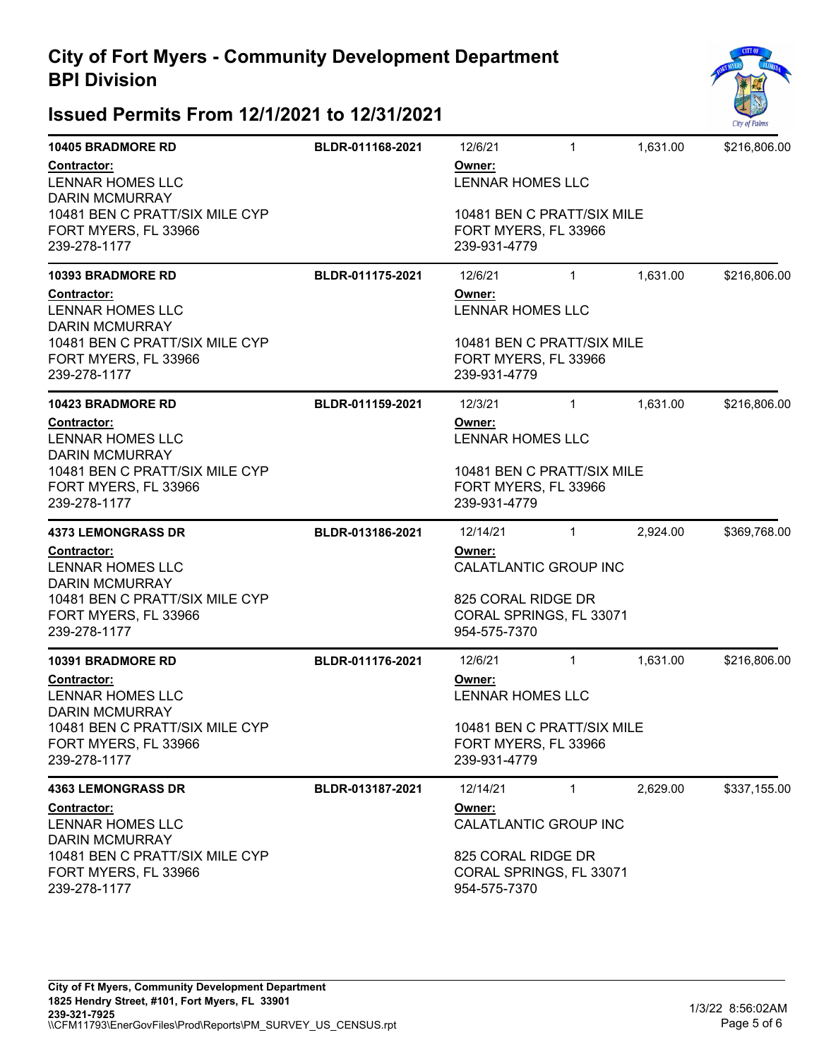

| <b>10405 BRADMORE RD</b>                                                                      | BLDR-011168-2021                  | 12/6/21                                                            | $\mathbf{1}$ | 1,631.00 | \$216,806.00 |  |
|-----------------------------------------------------------------------------------------------|-----------------------------------|--------------------------------------------------------------------|--------------|----------|--------------|--|
| Contractor:<br>LENNAR HOMES LLC<br><b>DARIN MCMURRAY</b>                                      |                                   | Owner:<br>LENNAR HOMES LLC                                         |              |          |              |  |
| 10481 BEN C PRATT/SIX MILE CYP<br>FORT MYERS, FL 33966<br>239-278-1177                        |                                   | 10481 BEN C PRATT/SIX MILE<br>FORT MYERS, FL 33966<br>239-931-4779 |              |          |              |  |
| <b>10393 BRADMORE RD</b>                                                                      | BLDR-011175-2021                  | 12/6/21                                                            | $\mathbf{1}$ | 1,631.00 | \$216,806.00 |  |
| Contractor:<br>Owner:<br>LENNAR HOMES LLC<br><b>LENNAR HOMES LLC</b><br><b>DARIN MCMURRAY</b> |                                   |                                                                    |              |          |              |  |
| 10481 BEN C PRATT/SIX MILE CYP<br>FORT MYERS, FL 33966<br>239-278-1177                        |                                   | 10481 BEN C PRATT/SIX MILE<br>FORT MYERS, FL 33966<br>239-931-4779 |              |          |              |  |
| <b>10423 BRADMORE RD</b>                                                                      | BLDR-011159-2021                  | 12/3/21                                                            | $\mathbf{1}$ | 1,631.00 | \$216,806.00 |  |
| Contractor:<br>LENNAR HOMES LLC<br><b>DARIN MCMURRAY</b>                                      | Owner:<br><b>LENNAR HOMES LLC</b> |                                                                    |              |          |              |  |
| 10481 BEN C PRATT/SIX MILE CYP<br>FORT MYERS, FL 33966<br>239-278-1177                        |                                   | 10481 BEN C PRATT/SIX MILE<br>FORT MYERS, FL 33966<br>239-931-4779 |              |          |              |  |
| <b>4373 LEMONGRASS DR</b>                                                                     | BLDR-013186-2021                  | 12/14/21                                                           | $\mathbf{1}$ | 2,924.00 | \$369,768.00 |  |
| Contractor:<br><b>LENNAR HOMES LLC</b><br><b>DARIN MCMURRAY</b>                               |                                   | Owner:<br>CALATLANTIC GROUP INC                                    |              |          |              |  |
| 10481 BEN C PRATT/SIX MILE CYP<br>FORT MYERS, FL 33966<br>239-278-1177                        |                                   | 825 CORAL RIDGE DR<br>CORAL SPRINGS, FL 33071<br>954-575-7370      |              |          |              |  |
| <b>10391 BRADMORE RD</b>                                                                      | BLDR-011176-2021                  | 12/6/21                                                            | $\mathbf{1}$ | 1,631.00 | \$216,806.00 |  |
| <b>Contractor:</b><br>LENNAR HOMES LLC<br><b>DARIN MCMURRAY</b>                               |                                   | Owner:<br><b>LENNAR HOMES LLC</b>                                  |              |          |              |  |
| 10481 BEN C PRATT/SIX MILE CYP<br>FORT MYERS, FL 33966<br>239-278-1177                        |                                   | 10481 BEN C PRATT/SIX MILE<br>FORT MYERS, FL 33966<br>239-931-4779 |              |          |              |  |
| <b>4363 LEMONGRASS DR</b>                                                                     | BLDR-013187-2021                  | 12/14/21                                                           | $\mathbf{1}$ | 2,629.00 | \$337,155.00 |  |
| <b>Contractor:</b><br>LENNAR HOMES LLC<br><b>DARIN MCMURRAY</b>                               |                                   | Owner:<br>CALATLANTIC GROUP INC                                    |              |          |              |  |
| 10481 BEN C PRATT/SIX MILE CYP<br>FORT MYERS, FL 33966<br>239-278-1177                        |                                   | 825 CORAL RIDGE DR<br>CORAL SPRINGS, FL 33071<br>954-575-7370      |              |          |              |  |